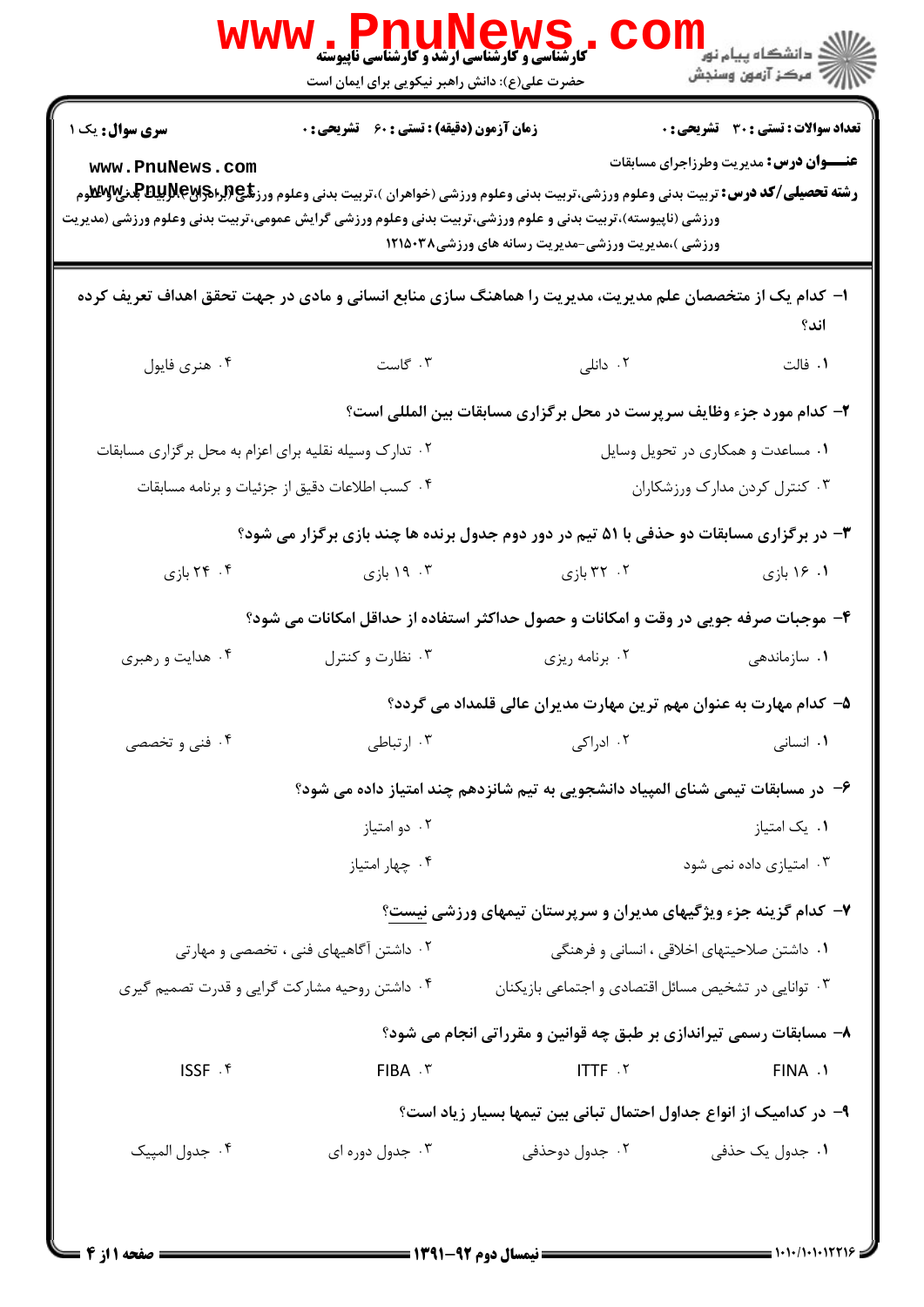|                                                                                                                                                                                                                                                                                                  | ، WS کا ایک ایک ایک ایک ایران<br>کارشناسی و کارشناسی ارشد و کارشناسی ناپیوسته<br>حضرت علی(ع): دانش راهبر نیکویی برای ایمان است |                                                                                                       | ر دانشڪاه پيام نور ■<br>  <i>  =</i><br>  = مرڪز آزمون وسنڊش                                  |
|--------------------------------------------------------------------------------------------------------------------------------------------------------------------------------------------------------------------------------------------------------------------------------------------------|--------------------------------------------------------------------------------------------------------------------------------|-------------------------------------------------------------------------------------------------------|-----------------------------------------------------------------------------------------------|
| سری سوال: یک ۱<br>www.PnuNews.com<br><b>رشته تحصیلی/کد درس:</b> تربیت بدنی وعلوم ورزشی،تربیت بدنی وعلوم ورزشی (خواهران )،تربیت بدنی وعلوم ورز <b>تگی (برای پایلاپالی با کلاو</b> م<br>ورزشی (ناپیوسته)،تربیت بدنی و علوم ورزشی،تربیت بدنی وعلوم ورزشی گرایش عمومی،تربیت بدنی وعلوم ورزشی (مدیریت | زمان آزمون (دقیقه) : تستی : ۶۰٪ تشریحی : ۰                                                                                     | ورزشی )،مدیریت ورزشی-مدیریت رسانه های ورزشی۱۲۱۵۰۳۸                                                    | <b>تعداد سوالات : تستی : 30 ٪ تشریحی : 0</b><br><b>عنـــوان درس:</b> مدیریت وطرزاجرای مسابقات |
| ۱– کدام یک از متخصصان علم مدیریت، مدیریت را هماهنگ سازی منابع انسانی و مادی در جهت تحقق اهداف تعریف کرده                                                                                                                                                                                         |                                                                                                                                |                                                                                                       |                                                                                               |
| ۰۴ هنري فايول                                                                                                                                                                                                                                                                                    | ۰۳ گاست                                                                                                                        | ۰۲ دانلی $\sim$                                                                                       | اند؟<br>۰۱ فالت                                                                               |
|                                                                                                                                                                                                                                                                                                  |                                                                                                                                | ۲- کدام مورد جزء وظایف سرپرست در محل برگزاری مسابقات بین المللی است؟                                  |                                                                                               |
| ۰۲ تدارک وسیله نقلیه برای اعزام به محل برگزاری مسابقات                                                                                                                                                                                                                                           | ۰۴ كسب اطلاعات دقيق از جزئيات و برنامه مسابقات                                                                                 |                                                                                                       | ۰۱ مساعدت و همکاری در تحویل وسایل<br>۰۳ کنترل کردن مدارک ورزشکاران                            |
|                                                                                                                                                                                                                                                                                                  |                                                                                                                                | ۳- در برگزاری مسابقات دو حذفی با ۵۱ تیم در دور دوم جدول برنده ها چند بازی برگزار می شود؟              |                                                                                               |
| ۰۴ بازی                                                                                                                                                                                                                                                                                          | ۰۳ . ۱۹ بازی                                                                                                                   | ۰۲ بازی                                                                                               | ۱. ۱۶ بازی                                                                                    |
| ۰۴ هدایت و رهبری                                                                                                                                                                                                                                                                                 | ۰۳ نظارت و کنترل                                                                                                               | ۴- موجبات صرفه جویی در وقت و امکانات و حصول حداکثر استفاده از حداقل امکانات می شود؟<br>۰۲ برنامه ریزی | ۰۱ سازماندهی                                                                                  |
|                                                                                                                                                                                                                                                                                                  |                                                                                                                                | ۵– کدام مهارت به عنوان مهم ترین مهارت مدیران عالی قلمداد می گردد؟                                     |                                                                                               |
| ۰۴ فنی و تخصصی                                                                                                                                                                                                                                                                                   | ۰۳ ارتباطی                                                                                                                     | ۰۲ ادراکی                                                                                             | ٠١. انسانی                                                                                    |
|                                                                                                                                                                                                                                                                                                  | ۰۲ دو امتياز                                                                                                                   | ۶– در مسابقات تیمی شنای المپیاد دانشجویی به تیم شانزدهم چند امتیاز داده می شود؟                       | ۰۱ یک امتیاز                                                                                  |
|                                                                                                                                                                                                                                                                                                  | ۰۴ چهار امتياز                                                                                                                 |                                                                                                       | ۰۳ امتیازی داده نمی شود                                                                       |
| ۷- کدام گزینه جزء ویژگیهای مدیران و سرپرستان تیمهای ورزشی نیست؟                                                                                                                                                                                                                                  |                                                                                                                                |                                                                                                       |                                                                                               |
|                                                                                                                                                                                                                                                                                                  | ۰۲ داشتن آگاهیهای فنی ، تخصصی و مهارتی                                                                                         |                                                                                                       | ۰۱ داشتن صلاحیتهای اخلاقی ، انسانی و فرهنگی                                                   |
| ۰۴ داشتن روحیه مشارکت گرایی و قدرت تصمیم گیری                                                                                                                                                                                                                                                    |                                                                                                                                | ۰۳ توانایی در تشخیص مسائل اقتصادی و اجتماعی بازیکنان                                                  |                                                                                               |
|                                                                                                                                                                                                                                                                                                  |                                                                                                                                | ۸– مسابقات رسمی تیراندازی بر طبق چه قوانین و مقرراتی انجام می شود؟                                    |                                                                                               |
| ISSF . ۴                                                                                                                                                                                                                                                                                         | FIBA . ٣                                                                                                                       | ITTF .Y                                                                                               | FINA .1                                                                                       |
| ۹– در کدامیک از انواع جداول احتمال تبانی بین تیمها بسیار زیاد است؟                                                                                                                                                                                                                               |                                                                                                                                |                                                                                                       |                                                                                               |
| ۰۴ جدول المپيک                                                                                                                                                                                                                                                                                   | ۰۳ جدول دوره ای                                                                                                                | ۰۲ جدول دوحذفی                                                                                        | ٠١ جدول يک حذفي                                                                               |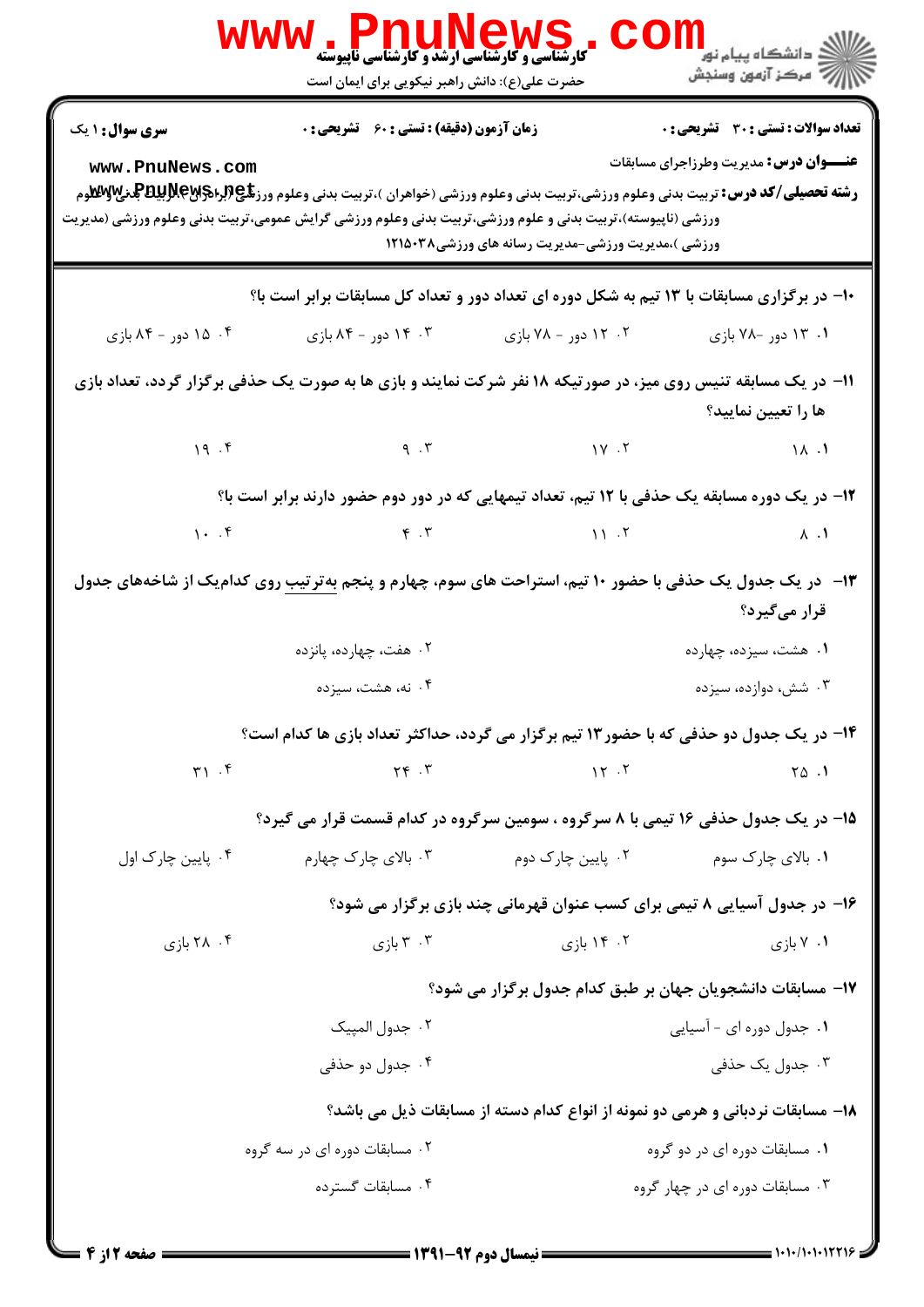|                                                                                                                                                         | ، WS کا THUNGWS کا میں<br>کارشناسی و کارشناسی ارشد و کارشناسی ناپیوسته<br>حضرت علی(ع): دانش راهبر نیکویی برای ایمان است                                                                      |                                                                          | ر دانشڪاه پيام نور <mark>−</mark><br>ا∛ مرڪز آزمون وسنڊش                               |  |
|---------------------------------------------------------------------------------------------------------------------------------------------------------|----------------------------------------------------------------------------------------------------------------------------------------------------------------------------------------------|--------------------------------------------------------------------------|----------------------------------------------------------------------------------------|--|
| <b>سری سوال :</b> ۱ یک<br>www.PnuNews.com<br>ورزشی (ناپیوسته)،تربیت بدنی و علوم ورزشی،تربیت بدنی وعلوم ورزشی گرایش عمومی،تربیت بدنی وعلوم ورزشی (مدیریت | زمان آزمون (دقیقه) : تستی : 60 ٪ تشریحی : 0<br><b>رشته تحصیلی/کد درس:</b> تربیت بدنی وعلوم ورزشی،تربیت بدنی وعلوم ورزشی (خواهران )،تربیت بدنی وعلوم ورز <b>تگی (براگراپایتا بالدی لایستا</b> | ورزشی )،مدیریت ورزشی-مدیریت رسانه های ورزشی۱۲۱۵۰۳۸                       | تعداد سوالات : تستى : 30 - تشريحي : 0<br><b>عنـــوان درس:</b> مدیریت وطرزاجرای مسابقات |  |
| ۱۰- در برگزاری مسابقات با ۱۳ تیم به شکل دوره ای تعداد دور و تعداد کل مسابقات برابر است با؟                                                              |                                                                                                                                                                                              |                                                                          |                                                                                        |  |
| ۰۴ ۱۵ دور - ۸۴ بازی                                                                                                                                     | ۰۳ . ۱۴ دور - ۸۴ بازی                                                                                                                                                                        | ۰۲ - ۱۲ دور - ۷۸ بازی                                                    | ۰۱ ۲۰ دور -۷۸ بازی                                                                     |  |
| 1۱- در یک مسابقه تنیس روی میز، در صورتیکه ۱۸ نفر شرکت نمایند و بازی ها به صورت یک حذفی برگزار گردد، تعداد بازی<br>ها را تعیین نمایید؟                   |                                                                                                                                                                                              |                                                                          |                                                                                        |  |
|                                                                                                                                                         | $(19.5)$ $(10.6)$                                                                                                                                                                            |                                                                          |                                                                                        |  |
| ۱۲– در یک دوره مسابقه یک حذفی با ۱۲ تیم، تعداد تیمهایی که در دور دوم حضور دارند برابر است با؟                                                           |                                                                                                                                                                                              |                                                                          |                                                                                        |  |
|                                                                                                                                                         |                                                                                                                                                                                              |                                                                          |                                                                                        |  |
| ۱۳- در یک جدول یک حذفی با حضور ۱۰ تیم، استراحت های سوم، چهارم و پنجم <u>به ترتیب</u> روی کدام یک از شاخههای جدول<br>قرار میگیرد؟                        |                                                                                                                                                                                              |                                                                          |                                                                                        |  |
|                                                                                                                                                         | ۰۲ هفت، چهارده، پانزده                                                                                                                                                                       |                                                                          | ۰۱ هشت، سیزده، چهارده                                                                  |  |
|                                                                                                                                                         | ۰۴ نه، هشت، سيزده                                                                                                                                                                            |                                                                          | ۰۳ شش، دوازده، سیزده                                                                   |  |
| ۱۴- در یک جدول دو حذفی که با حضور۱۳ تیم برگزار می گردد، حداکثر تعداد بازی ها کدام است؟                                                                  |                                                                                                                                                                                              |                                                                          |                                                                                        |  |
| $\uparrow \uparrow$ . $\uparrow$                                                                                                                        | $Y \in \mathcal{X}$                                                                                                                                                                          | $\gamma \gamma$ . $\gamma$                                               | $\begin{bmatrix} 1 & 0 \\ 0 & 1 \end{bmatrix}$                                         |  |
|                                                                                                                                                         | ۱۵- در یک جدول حذفی ۱۶ تیمی با ۸ سرگروه ، سومین سرگروه در کدام قسمت قرار می گیرد؟                                                                                                            |                                                                          |                                                                                        |  |
| ۰۴ پایین چارک اول                                                                                                                                       | ۰۳ بالای چارک چهارم                                                                                                                                                                          | ۰۲ پایین چارک دوم                                                        | ۰۱ بالای چارک سوم                                                                      |  |
|                                                                                                                                                         |                                                                                                                                                                                              | ۱۶- در جدول آسیایی ۸ تیمی برای کسب عنوان قهرمانی چند بازی برگزار می شود؟ |                                                                                        |  |
| ۰۴ بازی                                                                                                                                                 | ۰۳ بازی $\mathbf r$                                                                                                                                                                          | ۰۲ ۱۴ بازی                                                               | ۰۱ ۱ بازی                                                                              |  |
|                                                                                                                                                         |                                                                                                                                                                                              | ۱۷– مسابقات دانشجویان جهان بر طبق کدام جدول برگزار می شود؟               |                                                                                        |  |
|                                                                                                                                                         | ٢. جدول المپيک                                                                                                                                                                               |                                                                          | ۰۱ جدول دوره ای - آسیایی                                                               |  |
|                                                                                                                                                         | ۰۴ جدول دو حذفی                                                                                                                                                                              |                                                                          | ۰۳ جدول یک حذفی                                                                        |  |
| ۱۸- مسابقات نردبانی و هرمی دو نمونه از انواع کدام دسته از مسابقات ذیل می باشد؟                                                                          |                                                                                                                                                                                              |                                                                          |                                                                                        |  |
|                                                                                                                                                         | ۰۲ مسابقات دوره ای در سه گروه                                                                                                                                                                |                                                                          | ۰۱ مسابقات دوره ای در دو گروه                                                          |  |
|                                                                                                                                                         | ۰۴ مسابقات گسترده                                                                                                                                                                            |                                                                          | ۰۳ مسابقات دوره ای در چهار گروه                                                        |  |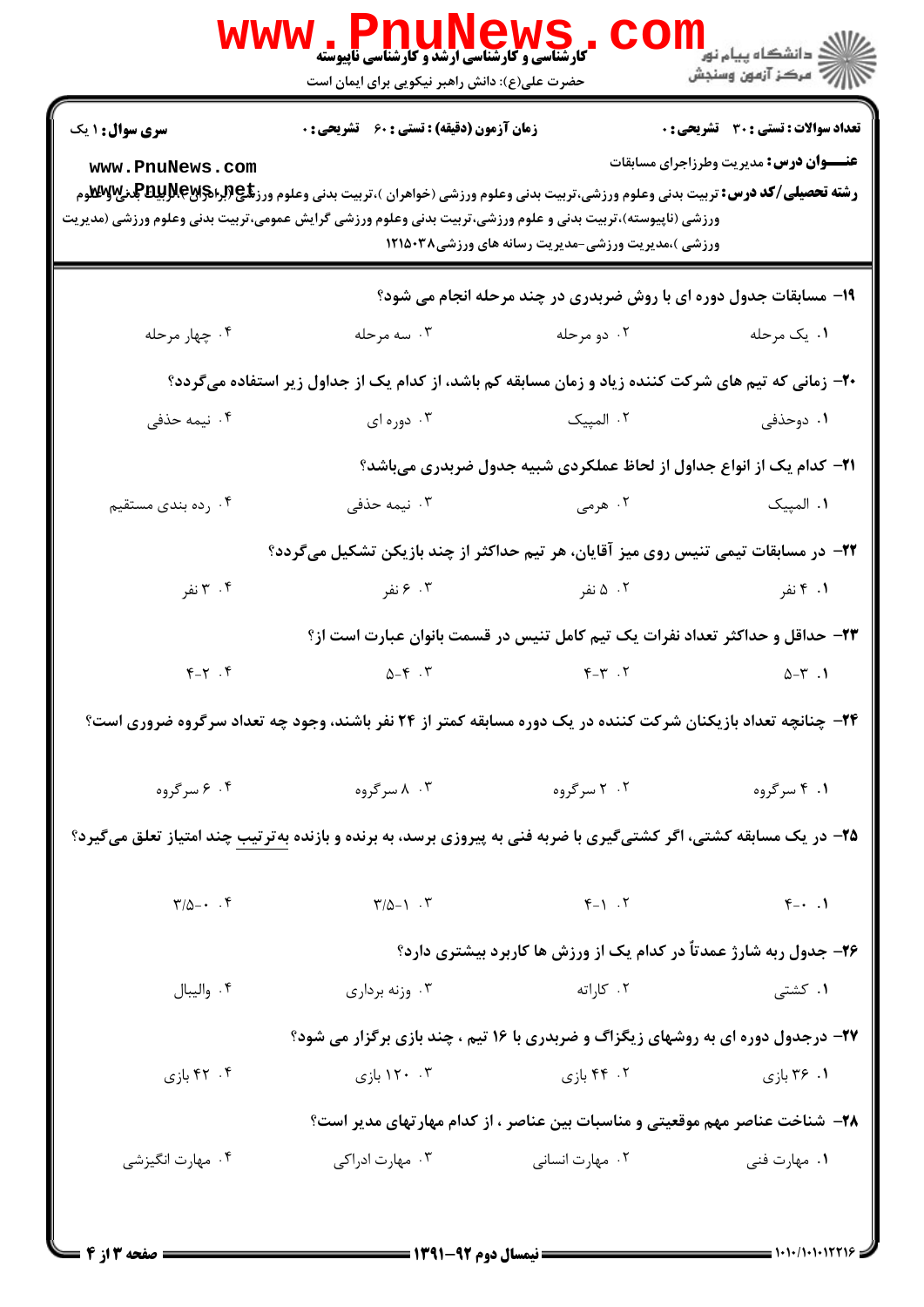|                                                                                                                           | ، WWW . PLIUNGWS<br>کارشناسی و کارشناسی ارشد و کارشناسی ناپیوسته<br>حضرت علی(ع): دانش راهبر نیکویی برای ایمان است                                                                                                                                                                                                                  |                                                                                         | ≦ دانشگاه پیام نو <mark>ر</mark><br>رآب مرڪز آزمون وسنڊش                                      |
|---------------------------------------------------------------------------------------------------------------------------|------------------------------------------------------------------------------------------------------------------------------------------------------------------------------------------------------------------------------------------------------------------------------------------------------------------------------------|-----------------------------------------------------------------------------------------|-----------------------------------------------------------------------------------------------|
| <b>سری سوال : ۱ یک</b><br>www.PnuNews.com                                                                                 | زمان آزمون (دقیقه) : تستی : 60 ٪ تشریحی : 0<br><b>رشته تحصیلی/کد درس:</b> تربیت بدنی وعلوم ورزشی،تربیت بدنی وعلوم ورزشی (خواهران )،تربیت بدنی وعلوم ورز <b>تگی (برای پاپانگلو</b> هرم <mark>ر</mark> ایی پاپاپا<br>م<br>ورزشی (ناپیوسته)،تربیت بدنی و علوم ورزشی،تربیت بدنی وعلوم ورزشی گرایش عمومی،تربیت بدنی وعلوم ورزشی (مدیریت | ورزشی )،مدیریت ورزشی-مدیریت رسانه های ورزشی۱۲۱۵۰۳۸                                      | <b>تعداد سوالات : تستی : 30 ٪ تشریحی : 0</b><br><b>عنـــوان درس:</b> مدیریت وطرزاجرای مسابقات |
|                                                                                                                           |                                                                                                                                                                                                                                                                                                                                    | ۱۹- مسابقات جدول دوره ای با روش ضربدری در چند مرحله انجام می شود؟                       |                                                                                               |
| ۰۴ چهار مرحله                                                                                                             | ۰۳ سه مرحله                                                                                                                                                                                                                                                                                                                        | ۰۲ دو مرحله                                                                             | ۰۱ یک مرحله                                                                                   |
| ۲۰- زمانی که تیم های شرکت کننده زیاد و زمان مسابقه کم باشد، از کدام یک از جداول زیر استفاده میگردد؟                       |                                                                                                                                                                                                                                                                                                                                    |                                                                                         |                                                                                               |
| ۰۴ نیمه حذفی                                                                                                              | ۰۳ دوره ای                                                                                                                                                                                                                                                                                                                         | ۰۲ المپیک                                                                               | ۱. دوحذفی                                                                                     |
|                                                                                                                           |                                                                                                                                                                                                                                                                                                                                    | <b>۲۱</b> – کدام یک از انواع جداول از لحاظ عملکردی شبیه جدول ضربدری میباشد؟             |                                                                                               |
| ۰۴ رده بندی مستقیم                                                                                                        | ۰۳ نیمه حذف <sub>ی</sub>                                                                                                                                                                                                                                                                                                           | ۰۲ هرمی                                                                                 | ٠١ المپيک                                                                                     |
|                                                                                                                           | ۲۲– در مسابقات تیمی تنیس روی میز آقایان، هر تیم حداکثر از چند بازیکن تشکیل میگردد؟                                                                                                                                                                                                                                                 |                                                                                         |                                                                                               |
| ۰۴ نفر                                                                                                                    | ۰۳ ۶ نفر                                                                                                                                                                                                                                                                                                                           | ۰۲ ۵ نفر                                                                                | ۰۱ تفر                                                                                        |
|                                                                                                                           |                                                                                                                                                                                                                                                                                                                                    | ۲۳- حداقل و حداکثر تعداد نفرات یک تیم کامل تنیس در قسمت بانوان عبارت است از؟            |                                                                                               |
| $Y-Y$ .                                                                                                                   | $\Delta - \mathfrak{f}$ . ٣                                                                                                                                                                                                                                                                                                        | $Y - Y - Y$                                                                             | $\Delta-\Upsilon$ .                                                                           |
|                                                                                                                           | ۲۴- چنانچه تعداد بازیکنان شرکت کننده در یک دوره مسابقه کمتر از ۲۴ نفر باشند، وجود چه تعداد سرگروه ضروری است؟                                                                                                                                                                                                                       |                                                                                         |                                                                                               |
| ۰۴ مسرگروه                                                                                                                | ۰۳ ۸ سرگروه                                                                                                                                                                                                                                                                                                                        | ۰۲ سرگروه                                                                               | ۰۱ ۴ سرگروه                                                                                   |
| <b>۲۵</b> - در یک مسابقه کشتی، اگر کشتیگیری با ضربه فنی به پیروزی برسد، به برنده و بازنده بهترتیب چند امتیاز تعلق میگیرد؟ |                                                                                                                                                                                                                                                                                                                                    |                                                                                         |                                                                                               |
| $\Gamma/\Delta - \cdot$ . $\Gamma$                                                                                        | $\Gamma/\Delta-\gamma$ .                                                                                                                                                                                                                                                                                                           | $F-1$ . T                                                                               | $\uparrow$ . $\uparrow$                                                                       |
|                                                                                                                           |                                                                                                                                                                                                                                                                                                                                    | ۲۶- جدول ربه شارژ عمدتاً در کدام یک از ورزش ها کاربرد بیشتری دارد؟                      |                                                                                               |
| ۰۴ واليبال                                                                                                                | ۰۳ وزنه برداری                                                                                                                                                                                                                                                                                                                     | ۰۲ کاراته                                                                               | ۰۱ کشتی                                                                                       |
|                                                                                                                           |                                                                                                                                                                                                                                                                                                                                    | <b>۲۷- درجدول دوره ای به روشهای زیگزاگ و ضربدری با ۱۶ تیم ، چند بازی برگزار می شود؟</b> |                                                                                               |
| ۰۴ بازی                                                                                                                   | ۰۳ ۱۲۰ بازی                                                                                                                                                                                                                                                                                                                        | ۰۲ بازی                                                                                 | ۰۱ ۳۶ بازی                                                                                    |
|                                                                                                                           |                                                                                                                                                                                                                                                                                                                                    | ۲۸– شناخت عناصر مهم موقعیتی و مناسبات بین عناصر ، از کدام مهارتهای مدیر است؟            |                                                                                               |
| ۰۴ مهارت انگیزشی                                                                                                          | ۰۳ مهارت ادراکی                                                                                                                                                                                                                                                                                                                    | ۰۲ مهارت انسانی                                                                         | ۰۱ مهارت فنی                                                                                  |
|                                                                                                                           |                                                                                                                                                                                                                                                                                                                                    |                                                                                         |                                                                                               |